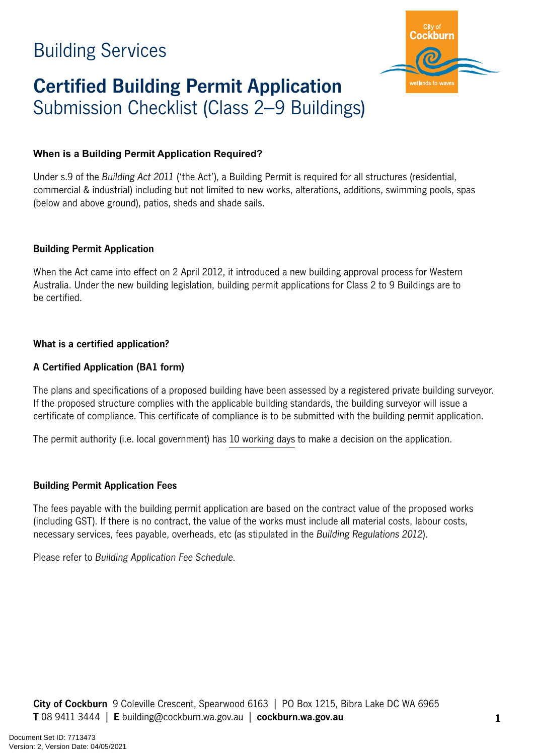

# **Certified Building Permit Application** Submission Checklist (Class 2–9 Buildings)

#### **When is a Building Permit Application Required?**

Under s.9 of the *Building Act 2011* ('the Act'), a Building Permit is required for all structures (residential, commercial & industrial) including but not limited to new works, alterations, additions, swimming pools, spas (below and above ground), patios, sheds and shade sails.

#### **Building Permit Application**

When the Act came into effect on 2 April 2012, it introduced a new building approval process for Western Australia. Under the new building legislation, building permit applications for Class 2 to 9 Buildings are to be certified.

#### **What is a certified application?**

#### **A Certified Application (BA1 form)**

The plans and specifications of a proposed building have been assessed by a registered private building surveyor. If the proposed structure complies with the applicable building standards, the building surveyor will issue a certificate of compliance. This certificate of compliance is to be submitted with the building permit application. **Building Services**<br>**Certified Building Permit Application**<br>Submission Checklist (Class 2—9 Buildings)<br>When is a Building Permit Application Required?<br>
When is a Building Permit Application Required?<br>
When is a Building fe

The permit authority (i.e. local government) has 10 working days to make a decision on the application.

#### **Building Permit Application Fees**

The fees payable with the building permit application are based on the contract value of the proposed works (including GST). If there is no contract, the value of the works must include all material costs, labour costs, necessary services, fees payable, overheads, etc (as stipulated in the *Building Regulations 2012*).

Please refer to *Building Application Fee Schedule*.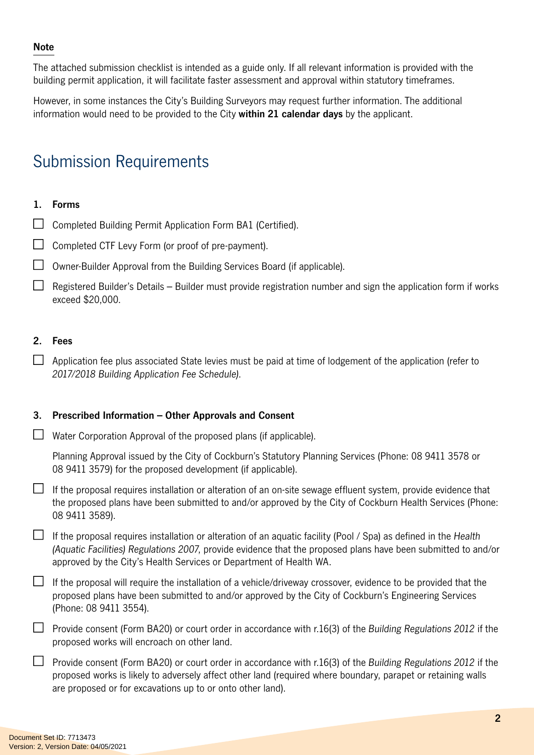#### **Note**

The attached submission checklist is intended as a guide only. If all relevant information is provided with the building permit application, it will facilitate faster assessment and approval within statutory timeframes.

However, in some instances the City's Building Surveyors may request further information. The additional information would need to be provided to the City **within 21 calendar days** by the applicant.

## Submission Requirements

#### **1. Forms**

- $\Box$  Completed Building Permit Application Form BA1 (Certified).
- $\Box$  Completed CTF Levy Form (or proof of pre-payment).
- $\Box$  Owner-Builder Approval from the Building Services Board (if applicable).
- $\Box$  Registered Builder's Details Builder must provide registration number and sign the application form if works exceed \$20,000.

#### **2. Fees**

 $\Box$  Application fee plus associated State levies must be paid at time of lodgement of the application (refer to *2017/2018 Building Application Fee Schedule)*.

#### **3. Prescribed Information – Other Approvals and Consent**

 $\Box$  Water Corporation Approval of the proposed plans (if applicable).

Planning Approval issued by the City of Cockburn's Statutory Planning Services (Phone: 08 9411 3578 or 08 9411 3579) for the proposed development (if applicable).

 $\Box$  If the proposal requires installation or alteration of an on-site sewage effluent system, provide evidence that the proposed plans have been submitted to and/or approved by the City of Cockburn Health Services (Phone: 08 9411 3589).

If the proposal requires installation or alteration of an aquatic facility (Pool / Spa) as defined in the *Health (Aquatic Facilities) Regulations 2007*, provide evidence that the proposed plans have been submitted to and/or approved by the City's Health Services or Department of Health WA.

 $\Box$  If the proposal will require the installation of a vehicle/driveway crossover, evidence to be provided that the proposed plans have been submitted to and/or approved by the City of Cockburn's Engineering Services (Phone: 08 9411 3554).

- Provide consent (Form BA20) or court order in accordance with r.16(3) of the *Building Regulations 2012* if the proposed works will encroach on other land.
- Provide consent (Form BA20) or court order in accordance with r.16(3) of the *Building Regulations 2012* if the proposed works is likely to adversely affect other land (required where boundary, parapet or retaining walls are proposed or for excavations up to or onto other land).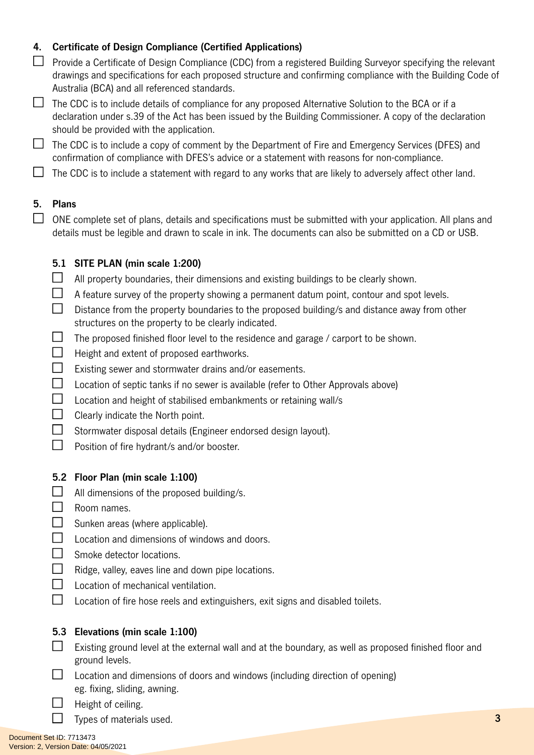### **4. Certificate of Design Compliance (Certified Applications)**

- $\Box$  Provide a Certificate of Design Compliance (CDC) from a registered Building Surveyor specifying the relevant drawings and specifications for each proposed structure and confirming compliance with the Building Code of Australia (BCA) and all referenced standards.
- $\Box$  The CDC is to include details of compliance for any proposed Alternative Solution to the BCA or if a declaration under s.39 of the Act has been issued by the Building Commissioner. A copy of the declaration should be provided with the application.
- $\Box$  The CDC is to include a copy of comment by the Department of Fire and Emergency Services (DFES) and confirmation of compliance with DFES's advice or a statement with reasons for non-compliance.
- $\Box$  The CDC is to include a statement with regard to any works that are likely to adversely affect other land.

#### **5. Plans**

 $\Box$  ONE complete set of plans, details and specifications must be submitted with your application. All plans and details must be legible and drawn to scale in ink. The documents can also be submitted on a CD or USB.

#### **5.1 SITE PLAN (min scale 1:200)**

- $\Box$ All property boundaries, their dimensions and existing buildings to be clearly shown.
- $\Box$ A feature survey of the property showing a permanent datum point, contour and spot levels.
- $\Box$ Distance from the property boundaries to the proposed building/s and distance away from other structures on the property to be clearly indicated.
- $\Box$ The proposed finished floor level to the residence and garage / carport to be shown.
- $\Box$  Height and extent of proposed earthworks.
- $\Box$ Existing sewer and stormwater drains and/or easements.
- $\Box$  Location of septic tanks if no sewer is available (refer to Other Approvals above)
- $\Box$  Location and height of stabilised embankments or retaining wall/s
- $\Box$ Clearly indicate the North point.
- $\Box$ Stormwater disposal details (Engineer endorsed design layout).
- $\Box$ Position of fire hydrant/s and/or booster.

#### **5.2 Floor Plan (min scale 1:100)**

- $\Box$  All dimensions of the proposed building/s.
- $\Box$  Room names.
- $\Box$  Sunken areas (where applicable).
- $\Box$  Location and dimensions of windows and doors.
- $\Box$  Smoke detector locations.
- $\Box$ Ridge, valley, eaves line and down pipe locations.
- $\Box$  Location of mechanical ventilation.
- $\Box$ Location of fire hose reels and extinguishers, exit signs and disabled toilets.

#### **5.3 Elevations (min scale 1:100)**

- $\Box$  Existing ground level at the external wall and at the boundary, as well as proposed finished floor and ground levels.
- $\Box$  Location and dimensions of doors and windows (including direction of opening) eg. fixing, sliding, awning.
	- Height of ceiling.
		- Types of materials used.

 $\Box$